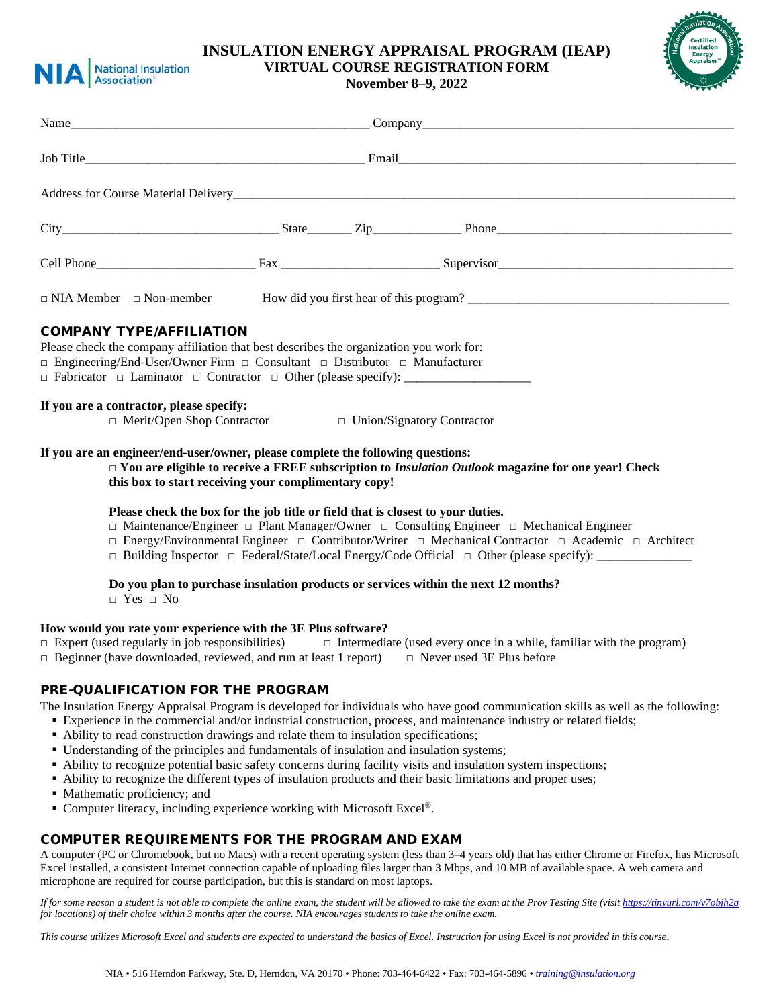

# **INSULATION ENERGY APPRAISAL PROGRAM (IEAP) VIRTUAL COURSE REGISTRATION FORM**

**November 8–9, 2022**



| Name                                                                                                                                                                                                                          |                                   |                                                                                                                                                                                                                                              |  |
|-------------------------------------------------------------------------------------------------------------------------------------------------------------------------------------------------------------------------------|-----------------------------------|----------------------------------------------------------------------------------------------------------------------------------------------------------------------------------------------------------------------------------------------|--|
|                                                                                                                                                                                                                               |                                   |                                                                                                                                                                                                                                              |  |
|                                                                                                                                                                                                                               |                                   |                                                                                                                                                                                                                                              |  |
|                                                                                                                                                                                                                               |                                   |                                                                                                                                                                                                                                              |  |
|                                                                                                                                                                                                                               |                                   |                                                                                                                                                                                                                                              |  |
|                                                                                                                                                                                                                               |                                   | $\Box$ NIA Member $\Box$ Non-member How did you first hear of this program?                                                                                                                                                                  |  |
| <b>COMPANY TYPE/AFFILIATION</b><br>Please check the company affiliation that best describes the organization you work for:<br>$\Box$ Engineering/End-User/Owner Firm $\Box$ Consultant $\Box$ Distributor $\Box$ Manufacturer |                                   |                                                                                                                                                                                                                                              |  |
| If you are a contractor, please specify:<br>$\Box$ Merit/Open Shop Contractor                                                                                                                                                 | $\Box$ Union/Signatory Contractor |                                                                                                                                                                                                                                              |  |
| If you are an engineer/end-user/owner, please complete the following questions:<br>this box to start receiving your complimentary copy!                                                                                       |                                   | $\Box$ You are eligible to receive a FREE subscription to Insulation Outlook magazine for one year! Check                                                                                                                                    |  |
| Please check the box for the job title or field that is closest to your duties.                                                                                                                                               |                                   | $\Box$ Maintenance/Engineer $\Box$ Plant Manager/Owner $\Box$ Consulting Engineer $\Box$ Mechanical Engineer<br>$\Box$ Energy/Environmental Engineer $\Box$ Contributor/Writer $\Box$ Mechanical Contractor $\Box$ Academic $\Box$ Architect |  |

□ Building Inspector □ Federal/State/Local Energy/Code Official □ Other (please specify):

#### **Do you plan to purchase insulation products or services within the next 12 months?**

 $\neg$  Yes  $\Box$  No

### **How would you rate your experience with the 3E Plus software?**

- □ Expert (used regularly in job responsibilities) □ Intermediate (used every once in a while, familiar with the program)
- $\Box$  Beginner (have downloaded, reviewed, and run at least 1 report)  $\Box$  Never used 3E Plus before

## PRE-QUALIFICATION FOR THE PROGRAM

- The Insulation Energy Appraisal Program is developed for individuals who have good communication skills as well as the following:
	- Experience in the commercial and/or industrial construction, process, and maintenance industry or related fields;
	- Ability to read construction drawings and relate them to insulation specifications;
	- Understanding of the principles and fundamentals of insulation and insulation systems;
	- Ability to recognize potential basic safety concerns during facility visits and insulation system inspections;
	- Ability to recognize the different types of insulation products and their basic limitations and proper uses;
	- Mathematic proficiency; and
	- Computer literacy, including experience working with Microsoft Excel<sup>®</sup>.

## COMPUTER REQUIREMENTS FOR THE PROGRAM AND EXAM

A computer (PC or Chromebook, but no Macs) with a recent operating system (less than 3–4 years old) that has either Chrome or Firefox, has Microsoft Excel installed, a consistent Internet connection capable of uploading files larger than 3 Mbps, and 10 MB of available space. A web camera and microphone are required for course participation, but this is standard on most laptops.

*If for some reason a student is not able to complete the online exam, the student will be allowed to take the exam at the Prov Testing Site (visi[t https://tinyurl.com/y7objh2g](https://tinyurl.com/y7objh2g) for locations) of their choice within 3 months after the course. NIA encourages students to take the online exam.*

*This course utilizes Microsoft Excel and students are expected to understand the basics of Excel. Instruction for using Excel is not provided in this course.*